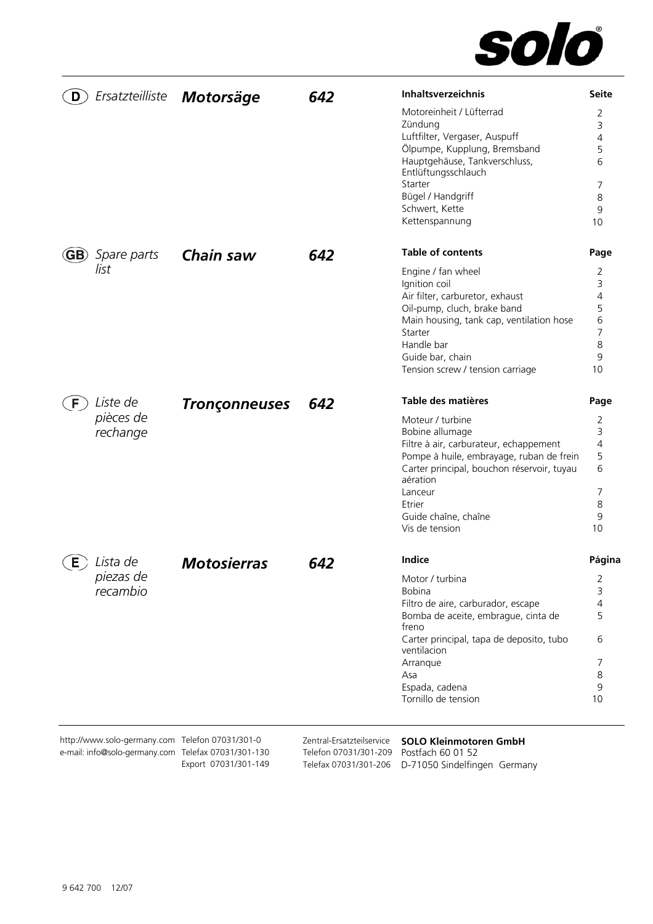

| Ersatzteilliste<br>D.                               | Motorsäge            | 642                                            | Inhaltsverzeichnis                                                                                 | <b>Seite</b>   |
|-----------------------------------------------------|----------------------|------------------------------------------------|----------------------------------------------------------------------------------------------------|----------------|
|                                                     |                      |                                                | Motoreinheit / Lüfterrad                                                                           | 2              |
|                                                     |                      |                                                | Zündung                                                                                            | 3              |
|                                                     |                      |                                                | Luftfilter, Vergaser, Auspuff                                                                      | 4              |
|                                                     |                      |                                                | Ölpumpe, Kupplung, Bremsband<br>Hauptgehäuse, Tankverschluss,                                      | 5<br>6         |
|                                                     |                      |                                                | Entlüftungsschlauch                                                                                |                |
|                                                     |                      |                                                | Starter                                                                                            | 7              |
|                                                     |                      |                                                | Bügel / Handgriff                                                                                  | 8              |
|                                                     |                      |                                                | Schwert, Kette<br>Kettenspannung                                                                   | 9<br>10        |
|                                                     |                      |                                                |                                                                                                    |                |
| <b>GB</b> ) Spare parts                             | Chain saw            | 642                                            | <b>Table of contents</b>                                                                           | Page           |
| list                                                |                      |                                                | Engine / fan wheel                                                                                 | 2              |
|                                                     |                      |                                                | Ignition coil                                                                                      | 3              |
|                                                     |                      |                                                | Air filter, carburetor, exhaust                                                                    | 4<br>5         |
|                                                     |                      |                                                | Oil-pump, cluch, brake band<br>Main housing, tank cap, ventilation hose                            | 6              |
|                                                     |                      |                                                | Starter                                                                                            | $\overline{7}$ |
|                                                     |                      |                                                | Handle bar                                                                                         | 8              |
|                                                     |                      |                                                | Guide bar, chain                                                                                   | 9              |
|                                                     |                      |                                                | Tension screw / tension carriage                                                                   | 10             |
| Liste de<br>F                                       | <b>Tronçonneuses</b> | 642                                            | Table des matières                                                                                 | Page           |
| pièces de                                           |                      |                                                | Moteur / turbine                                                                                   | 2              |
| rechange                                            |                      |                                                | Bobine allumage                                                                                    | 3              |
|                                                     |                      |                                                | Filtre à air, carburateur, echappement                                                             | $\overline{4}$ |
|                                                     |                      |                                                | Pompe à huile, embrayage, ruban de frein<br>Carter principal, bouchon réservoir, tuyau<br>aération | 5<br>6         |
|                                                     |                      |                                                | Lanceur                                                                                            | 7              |
|                                                     |                      |                                                | Etrier                                                                                             | 8              |
|                                                     |                      |                                                | Guide chaîne, chaîne                                                                               | 9              |
|                                                     |                      |                                                | Vis de tension                                                                                     | 10             |
| Lista de<br>Е                                       | <b>Motosierras</b>   | 642                                            | Indice                                                                                             | Página         |
| piezas de                                           |                      |                                                | Motor / turbina                                                                                    | 2              |
| recambio                                            |                      |                                                | Bobina                                                                                             | 3              |
|                                                     |                      |                                                | Filtro de aire, carburador, escape                                                                 | 4              |
|                                                     |                      |                                                | Bomba de aceite, embrague, cinta de<br>freno                                                       | 5              |
|                                                     |                      |                                                | Carter principal, tapa de deposito, tubo                                                           | 6              |
|                                                     |                      |                                                | ventilacion                                                                                        |                |
|                                                     |                      |                                                | Arranque                                                                                           | 7              |
|                                                     |                      |                                                | Asa<br>Espada, cadena                                                                              | 8<br>9         |
|                                                     |                      |                                                | Tornillo de tension                                                                                | 10             |
|                                                     |                      |                                                |                                                                                                    |                |
| http://www.solo-germany.com Telefon 07031/301-0     |                      | Zentral-Ersatzteilservice                      | <b>SOLO Kleinmotoren GmbH</b>                                                                      |                |
| e-mail: info@solo-germany.com Telefax 07031/301-130 | Export 07031/301-149 | Telefon 07031/301-209<br>Telefax 07031/301-206 | Postfach 60 01 52<br>D-71050 Sindelfingen Germany                                                  |                |
|                                                     |                      |                                                |                                                                                                    |                |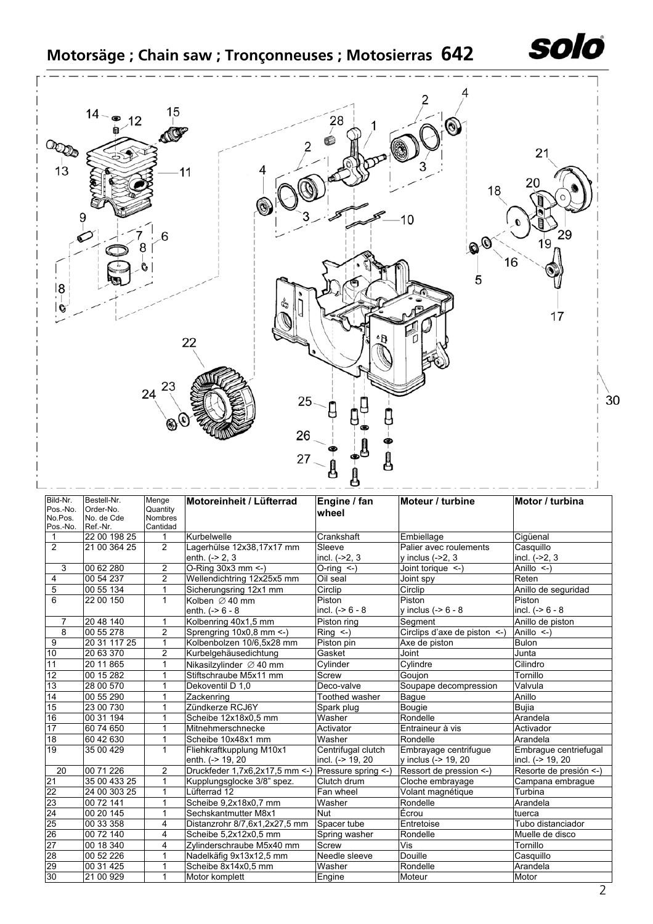

| Bild-Nr.<br>Pos.-No.<br>No.Pos. | Bestell-Nr.<br>Order-No.<br>No. de Cde | Menge<br>Quantity<br><b>Nombres</b> | Motoreinheit / Lüfterrad                           | Engine / fan<br>wheel | Moteur / turbine                  | Motor / turbina        |
|---------------------------------|----------------------------------------|-------------------------------------|----------------------------------------------------|-----------------------|-----------------------------------|------------------------|
| Pos.-No.                        | Ref.-Nr.                               | Cantidad                            |                                                    |                       |                                   |                        |
| $\mathbf{1}$                    | 22 00 198 25                           | 1                                   | Kurbelwelle                                        | Crankshaft            | Embiellage                        | Cigüenal               |
| $\overline{2}$                  | 21 00 364 25                           | 2                                   | Lagerhülse 12x38,17x17 mm                          | Sleeve                | Palier avec roulements            | Casquillo              |
|                                 |                                        |                                     | enth. $(-2, 3)$                                    | incl. $(-2, 3)$       | y inclus (->2, 3                  | incl. (->2, 3          |
| 3                               | 00 62 280                              | $\overline{2}$                      | O-Ring 30x3 mm <-)                                 | $O-rinq$ <-)          | Joint torique <-)                 | Anillo $\leq$ )        |
| 4                               | 00 54 237                              | $\overline{2}$                      | Wellendichtring 12x25x5 mm                         | Oil seal              | Joint spy                         | Reten                  |
| $\overline{5}$                  | 00 55 134                              | 1                                   | Sicherungsring 12x1 mm                             | Circlip               | Circlip                           | Anillo de seguridad    |
| 6                               | 22 00 150                              | $\mathbf{1}$                        | Kolben $\varnothing$ 40 mm                         | Piston                | Piston                            | Piston                 |
|                                 |                                        |                                     | enth. $(-8 - 8 - 8)$                               | incl. $(-8 - 8 - 8)$  | y inclus $(-56 - 8)$              | incl. $(-56 - 8)$      |
| $\overline{7}$                  | 20 48 140                              | $\mathbf{1}$                        | Kolbenring 40x1,5 mm                               | Piston ring           | Segment                           | Anillo de piston       |
| $\overline{8}$                  | 00 55 278                              | $\overline{2}$                      | Sprengring 10x0,8 mm <- )                          | $Ring < -$ )          | Circlips d'axe de piston $\leq$ ) | Anillo $\leq$ )        |
| 9                               | 20 31 117 25                           | $\mathbf{1}$                        | Kolbenbolzen 10/6,5x28 mm                          | Piston pin            | Axe de piston                     | <b>Bulon</b>           |
| 10                              | 20 63 370                              | $\overline{2}$                      | Kurbelgehäusedichtung                              | Gasket                | Joint                             | Junta                  |
| 11                              | 20 11 865                              | 1                                   | Nikasilzylinder Ø 40 mm                            | Cylinder              | Cylindre                          | Cilindro               |
| 12                              | 00 15 282                              | 1                                   | Stiftschraube M5x11 mm                             | <b>Screw</b>          | Goujon                            | Tornillo               |
| 13                              | 28 00 570                              | 1                                   | Dekoventil D 1.0                                   | Deco-valve            | Soupape decompression             | Valvula                |
| 14                              | 00 55 290                              |                                     | Zackenring                                         | Toothed washer        | Bague                             | Anillo                 |
| 15                              | 23 00 730                              |                                     | Zündkerze RCJ6Y                                    | Spark plug            | Bougie                            | <b>Bujia</b>           |
| 16                              | 00 31 194                              |                                     | Scheibe 12x18x0,5 mm                               | Washer                | Rondelle                          | Arandela               |
| 17                              | 60 74 650                              |                                     | Mitnehmerschnecke                                  | Activator             | Entraineur à vis                  | Activador              |
| $\overline{18}$                 | 60 42 630                              | 1                                   | Scheibe 10x48x1 mm                                 | Washer                | Rondelle                          | Arandela               |
| $\overline{19}$                 | 35 00 429                              | $\mathbf 1$                         | Fliehkraftkupplung M10x1                           | Centrifugal clutch    | Embrayage centrifugue             | Embrague centriefugal  |
|                                 |                                        |                                     | enth. (-> 19, 20                                   | incl. (-> 19, 20      | y inclus (-> 19, 20               | incl. (-> 19, 20       |
| 20                              | 00 71 226                              | $\overline{2}$                      | Druckfeder 1,7x6,2x17,5 mm <-) Pressure spring <-) |                       | Ressort de pression <-)           | Resorte de presión <-) |
| 21                              | 35 00 433 25                           | 1                                   | Kupplungsglocke 3/8" spez.                         | Clutch drum           | Cloche embrayage                  | Campana embrague       |
| 22                              | 24 00 303 25                           | 1                                   | Lüfterrad 12                                       | Fan wheel             | Volant magnétique                 | Turbina                |
| 23                              | 00 72 141                              | 1                                   | Scheibe 9,2x18x0,7 mm                              | Washer                | Rondelle                          | Arandela               |
| 24                              | 00 20 145                              | 1                                   | Sechskantmutter M8x1                               | Nut                   | Écrou                             | tuerca                 |
| 25                              | 00 33 358                              | 4                                   | Distanzrohr 8/7,6x1,2x27,5 mm                      | Spacer tube           | Entretoise                        | Tubo distanciador      |
| 26                              | 00 72 140                              | 4                                   | Scheibe 5,2x12x0,5 mm                              | Spring washer         | Rondelle                          | Muelle de disco        |
| 27                              | 00 18 340                              | 4                                   | Zylinderschraube M5x40 mm                          | Screw                 | Vis                               | Tornillo               |
| 28                              | 00 52 226                              | 1                                   | Nadelkäfig 9x13x12,5 mm                            | Needle sleeve         | Douille                           | Casquillo              |
| 29                              | 00 31 425                              |                                     | Scheibe 8x14x0,5 mm                                | Washer                | Rondelle                          | Arandela               |
| 30                              | 21 00 929                              | 1                                   | Motor komplett                                     | Engine                | Moteur                            | Motor                  |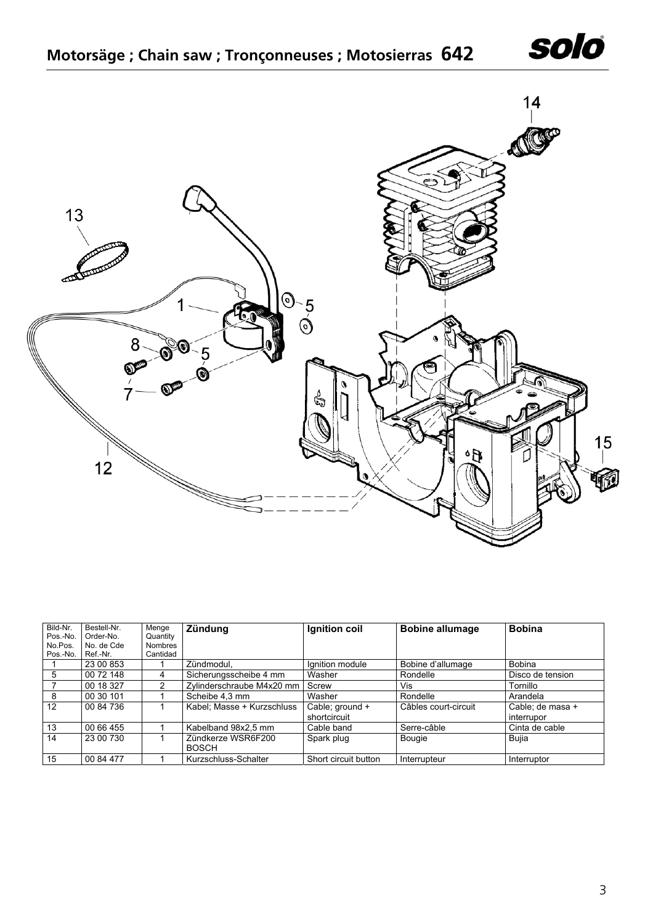



| Bild-Nr.<br>Pos.-No. | Bestell-Nr.<br>Order-No. | Menge<br>Quantity          | Zündung                            | Ignition coil                   | <b>Bobine allumage</b> | <b>Bobina</b>                  |
|----------------------|--------------------------|----------------------------|------------------------------------|---------------------------------|------------------------|--------------------------------|
| No.Pos.<br>Pos.-No.  | No. de Cde<br>Ref.-Nr.   | <b>Nombres</b><br>Cantidad |                                    |                                 |                        |                                |
|                      | 23 00 853                |                            | Zündmodul,                         | Ignition module                 | Bobine d'allumage      | <b>Bobina</b>                  |
| 5                    | 00 72 148                |                            | Sicherungsscheibe 4 mm             | Washer                          | Rondelle               | Disco de tension               |
|                      | 00 18 327                | $\mathcal{P}$              | Zylinderschraube M4x20 mm          | Screw                           | Vis                    | Tornillo                       |
| 8                    | 00 30 101                |                            | Scheibe 4,3 mm                     | Washer                          | Rondelle               | Arandela                       |
| 12                   | 00 84 736                |                            | Kabel; Masse + Kurzschluss         | Cable; ground +<br>shortcircuit | Câbles court-circuit   | Cable: de masa +<br>interrupor |
| 13                   | 00 66 455                |                            | Kabelband 98x2,5 mm                | Cable band                      | Serre-câble            | Cinta de cable                 |
| 14                   | 23 00 730                |                            | Zündkerze WSR6F200<br><b>BOSCH</b> | Spark plug                      | Bougie                 | Bujia                          |
| 15                   | 00 84 477                |                            | Kurzschluss-Schalter               | Short circuit button            | Interrupteur           | Interruptor                    |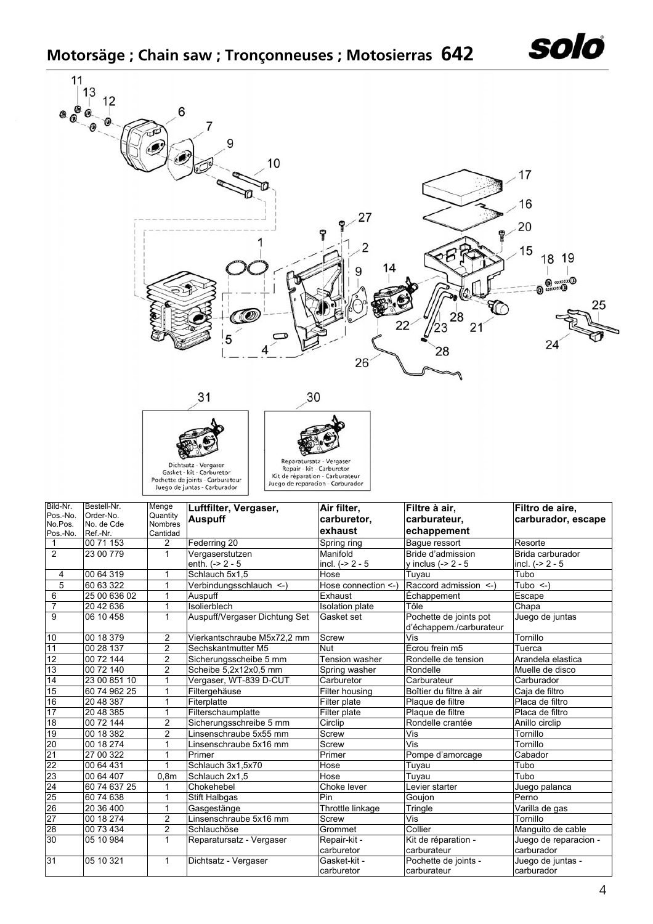## **Motorsäge ; Chain saw ; Tronçonneuses ; Motosierras 642**



**25 Stift Halbgas** Pin Pin Goujon Perno

Kit de réparation carburateur

Pochette de joints carburateur

26 20 36 400 1 Gasgestänge Throttle linkage Tringle Varilla de gas 27  $\vert$  00 18 274  $\vert$  2 Linsenschraube 5x16 mm Screw Vis Vis Tornillo

30 05 10 984 1 Reparatursatz - Vergaser Repair-kit -

31 05 10 321 1 Dichtsatz - Vergaser Gasket-kit -

28 00 73 434 2 Schlauchöse Grommet Collier Manguito de cable

carburetor

carburetor

Juego de reparacion -

solo

carburador

Juego de juntas carburador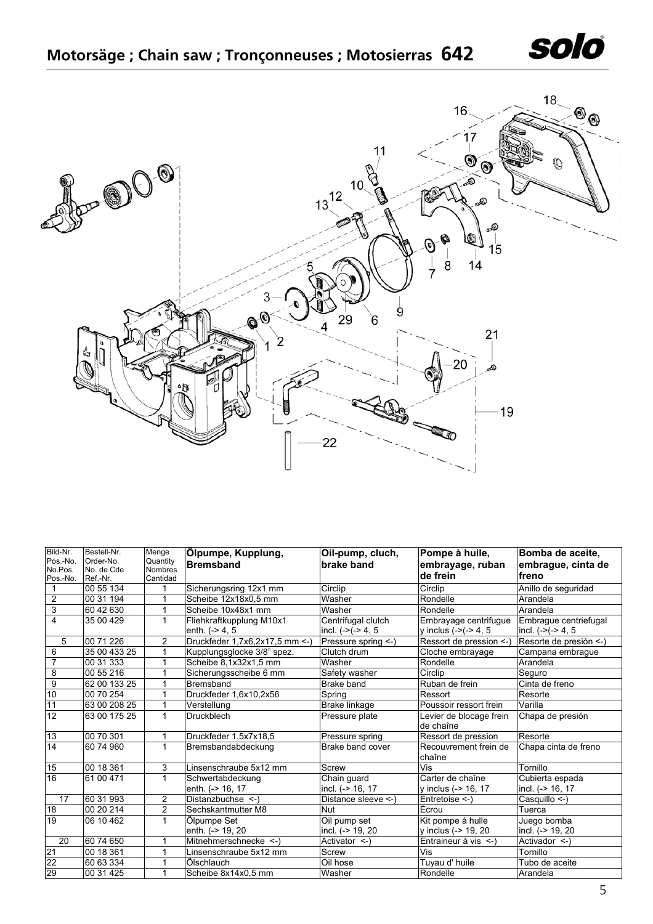



| Bild-Nr.<br>Pos.-No. | Bestell-Nr.<br>Order-No. | Menge<br>Quantity | Ölpumpe, Kupplung,              | Oil-pump, cluch,     | Pompe à huile,                       | Bomba de aceite,       |
|----------------------|--------------------------|-------------------|---------------------------------|----------------------|--------------------------------------|------------------------|
| No.Pos.              | No. de Cde               | Nombres           | <b>Bremsband</b>                | brake band           | embrayage, ruban                     | embrague, cinta de     |
| Pos.-No.             | Ref.-Nr.                 | Cantidad          |                                 |                      | de frein                             | freno                  |
|                      | 00 55 134                | 1                 | Sicherungsring 12x1 mm          | Circlip              | Circlip                              | Anillo de seguridad    |
| 2                    | 00 31 194                | 1                 | Scheibe 12x18x0,5 mm            | Washer               | Rondelle                             | Arandela               |
| $\overline{3}$       | 60 42 630                | 1                 | Scheibe 10x48x1 mm              | Washer               | Rondelle                             | Arandela               |
| $\overline{4}$       | 35 00 429                | 1                 | Fliehkraftkupplung M10x1        | Centrifugal clutch   | Embrayage centrifugue                | Embraque centriefugal  |
|                      |                          |                   | enth. $(-> 4, 5)$               | incl. $(-)(-2)$ 4, 5 | y inclus $(-)(-2)$ 4, 5              | incl. $(-)(-2)$ 4, 5   |
| 5                    | 00 71 226                | 2                 | Druckfeder 1,7x6,2x17,5 mm <- ) | Pressure spring <-)  | Ressort de pression <-               | Resorte de presión <-) |
| 6                    | 35 00 433 25             | 1                 | Kupplungsglocke 3/8" spez.      | Clutch drum          | Cloche embrayage                     | Campana embrague       |
| 7                    | 00 31 333                | 1                 | Scheibe 8,1x32x1,5 mm           | Washer               | Rondelle                             | Arandela               |
| 8                    | 00 55 216                | 1                 | Sicherungsscheibe 6 mm          | Safety washer        | Circlip                              | Seguro                 |
| $\overline{9}$       | 62 00 133 25             | 1                 | Bremsband                       | Brake band           | Ruban de frein                       | Cinta de freno         |
| 10                   | 00 70 254                | 1                 | Druckfeder 1,6x10,2x56          | Spring               | Ressort                              | Resorte                |
| 11                   | 63 00 208 25             | 1                 | Verstellung                     | Brake linkage        | Poussoir ressort frein               | Varilla                |
| 12                   | 63 00 175 25             | $\mathbf{1}$      | <b>Druckblech</b>               | Pressure plate       | Levier de blocage frein<br>de chaîne | Chapa de presión       |
| 13                   | 00 70 301                |                   | Druckfeder 1,5x7x18,5           | Pressure spring      | Ressort de pression                  | Resorte                |
| 14                   | 60 74 960                | $\mathbf{1}$      | Bremsbandabdeckung              | Brake band cover     | Recouvrement frein de<br>chaîne      | Chapa cinta de freno   |
| 15                   | 00 18 361                | 3                 | Linsenschraube 5x12 mm          | Screw                | Vis                                  | Tornillo               |
| 16                   | 61 00 471                | 1                 | Schwertabdeckung                | Chain guard          | Carter de chaîne                     | Cubierta espada        |
|                      |                          |                   | enth. (-> 16, 17                | incl. (-> 16, 17     | y inclus (-> 16, 17                  | incl. (-> 16, 17       |
| 17                   | 60 31 993                | $\overline{2}$    | Distanzbuchse <-)               | Distance sleeve <-)  | Entretoise <-)                       | Casquillo <-)          |
| 18                   | 00 20 214                | $\overline{2}$    | Sechskantmutter M8              | <b>Nut</b>           | Ecrou                                | Tuerca                 |
| 19                   | 06 10 462                | $\mathbf{1}$      | Ölpumpe Set                     | Oil pump set         | Kit pompe à hulle                    | Juego bomba            |
|                      |                          |                   | enth. (-> 19, 20                | incl. (-> 19, 20     | y inclus (-> 19, 20                  | incl. (-> 19, 20       |
| 20                   | 60 74 650                | 1                 | Mitnehmerschnecke <-)           | Activator <-)        | Entraineur à vis <-)                 | Activador <-)          |
| $\overline{21}$      | 00 18 361                | 1                 | Linsenschraube 5x12 mm          | Screw                | Vis                                  | Tornillo               |
| $\frac{22}{29}$      | 60 63 334                |                   | Ölschlauch                      | Oil hose             | Tuyau d' huile                       | Tubo de aceite         |
|                      | 00 31 425                | 1                 | Scheibe 8x14x0,5 mm             | Washer               | Rondelle                             | Arandela               |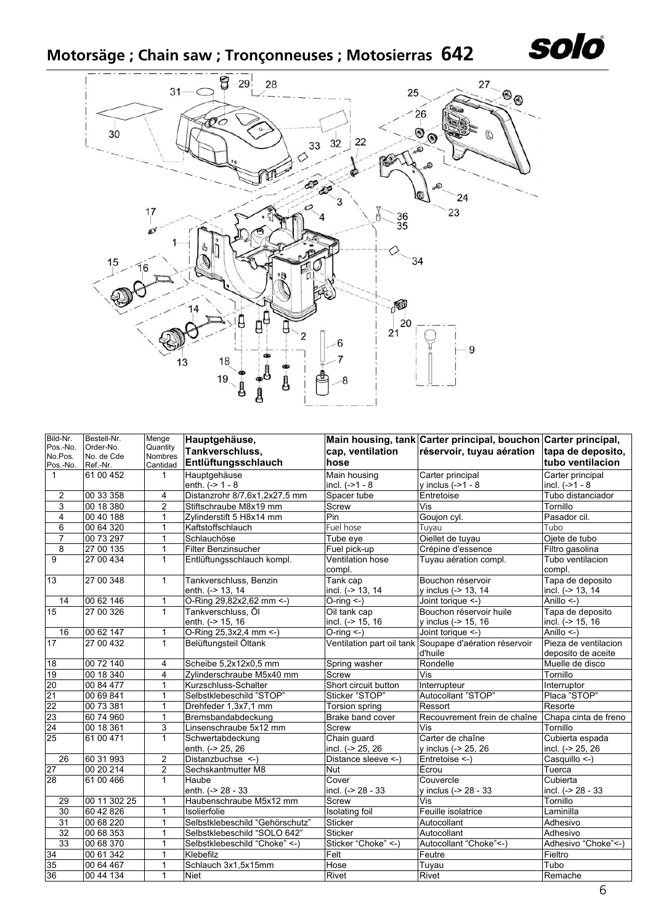**Motorsäge ; Chain saw ; Tronçonneuses ; Motosierras 642** 



| Bild-Nr.            | Bestell-Nr.             | Menge                      | Hauptgehäuse,                   |                            | Main housing, tank Carter principal, bouchon Carter principal, |                            |
|---------------------|-------------------------|----------------------------|---------------------------------|----------------------------|----------------------------------------------------------------|----------------------------|
| Pos.-No.<br>No.Pos. | Order-No.<br>No. de Cde | Quantity<br><b>Nombres</b> | Tankverschluss,                 | cap, ventilation           | réservoir, tuyau aération                                      | tapa de deposito,          |
| Pos.-No.            | Ref.-Nr.                | Cantidad                   | Entlüftungsschlauch             | hose                       |                                                                | tubo ventilacion           |
| $\mathbf{1}$        | 61 00 452               | $\mathbf 1$                | Hauptgehäuse                    | Main housing               | Carter principal                                               | Carter principal           |
|                     |                         |                            | enth. $(-2 1 - 8$               | incl. $(-21 - 8)$          | y inclus $(-21 - 8$                                            | incl. $(-21 - 8)$          |
| $\overline{2}$      | 00 33 358               | 4                          | Distanzrohr 8/7,6x1,2x27,5 mm   | Spacer tube                | Entretoise                                                     | Tubo distanciador          |
| $\overline{3}$      | 00 18 380               | $\overline{c}$             | Stiftschraube M8x19 mm          | Screw                      | Vis                                                            | Tornillo                   |
| $\overline{4}$      | 00 40 188               | 1                          | Zylinderstift 5 H8x14 mm        | Pin                        | Goujon cyl.                                                    | Pasador cil.               |
| $\overline{6}$      | 00 64 320               | $\mathbf{1}$               | Kaftstoffschlauch               | Fuel hose                  | Tuyau                                                          | Tubo                       |
| 7                   | 00 73 297               | $\mathbf{1}$               | Schlauchöse                     | Tube eye                   | Oiellet de tuyau                                               | Ojete de tubo              |
| $\overline{8}$      | 27 00 135               | $\mathbf{1}$               | Filter Benzinsucher             | Fuel pick-up               | Crépine d'essence                                              | Filtro gasolina            |
| 9                   | 27 00 434               | $\mathbf{1}$               | Entlüftungsschlauch kompl.      | Ventilation hose<br>compl. | Tuyau aération compl.                                          | Tubo ventilacion<br>compl. |
| 13                  | 27 00 348               | 1                          | Tankverschluss, Benzin          | Tank cap                   | Bouchon réservoir                                              | Tapa de deposito           |
|                     |                         |                            | enth. (-> 13, 14                | incl. (-> 13, 14           | y inclus (-> 13, 14                                            | incl. (-> 13, 14           |
| 14                  | 0062146                 | $\mathbf{1}$               | O-Ring 29,82x2,62 mm <- )       | $O$ -ring $\leq$ -)        | Joint torique <-)                                              | Anillo <-)                 |
| 15                  | 27 00 326               | $\mathbf{1}$               | Tankverschluss. Öl              | Oil tank cap               | Bouchon réservoir huile                                        | Tapa de deposito           |
|                     |                         |                            | enth. (-> 15, 16                | incl. (-> 15, 16           | y inclus $(-> 15, 16)$                                         | incl. (-> 15, 16           |
| 16                  | 00 62 147               | 1                          | O-Ring 25,3x2,4 mm <- )         | $O$ -ring $\leq$ -)        | Joint torique <-)                                              | Anillo <-)                 |
| 17                  | 27 00 432               | $\mathbf{1}$               | Belüftungsteil Öltank           |                            | Ventilation part oil tank Soupape d'aération réservoir         | Pieza de ventilacion       |
|                     |                         |                            |                                 |                            | d'huile                                                        | deposito de aceite         |
| 18                  | 00 72 140               | 4                          | Scheibe 5,2x12x0,5 mm           | Spring washer              | Rondelle                                                       | Muelle de disco            |
| 19                  | 00 18 340               | 4                          | Zylinderschraube M5x40 mm       | <b>Screw</b>               | Vis                                                            | Tornillo                   |
| 20                  | 00 84 477               | 1                          | Kurzschluss-Schalter            | Short circuit button       | Interrupteur                                                   | Interruptor                |
| $\overline{21}$     | 00 69 841               | $\mathbf{1}$               | Selbstklebeschild "STOP"        | Sticker "STOP"             | Autocollant "STOP"                                             | Placa "STOP"               |
| 22                  | 00 73 381               | 1                          | Drehfeder 1,3x7,1 mm            | Torsion spring             | Ressort                                                        | Resorte                    |
| 23                  | 60 74 960               | 1                          | Bremsbandabdeckung              | Brake band cover           | Recouvrement frein de chaîne                                   | Chapa cinta de freno       |
| 24                  | 00 18 361               | 3                          | Linsenschraube 5x12 mm          | Screw                      | Vis                                                            | Tornillo                   |
| 25                  | 61 00 471               | $\mathbf{1}$               | Schwertabdeckung                | Chain guard                | Carter de chaîne                                               | Cubierta espada            |
|                     |                         |                            | enth. (-> 25, 26                | incl. (-> 25, 26           | y inclus (-> 25, 26                                            | incl. (-> 25, 26           |
| $\overline{26}$     | 60 31 993               | $\overline{2}$             | Distanzbuchse <- )              | Distance sleeve <-         | Entretoise <-)                                                 | Casquillo <-)              |
| $\overline{27}$     | 00 20 214               | 2                          | Sechskantmutter M8              | <b>Nut</b>                 | Écrou                                                          | Tuerca                     |
| 28                  | 61 00 466               | $\mathbf{1}$               | Haube                           | Cover                      | Couvercle                                                      | Cubierta                   |
|                     |                         |                            | enth. (-> 28 - 33               | incl. (-> 28 - 33          | y inclus (-> 28 - 33                                           | incl. (-> 28 - 33          |
| 29                  | 00 11 302 25            | 1                          | Haubenschraube M5x12 mm         | Screw                      | Vis                                                            | Tornillo                   |
| 30                  | 60 42 826               | $\mathbf{1}$               | Isolierfolie                    | Isolating foil             | Feuille isolatrice                                             | Laminilla                  |
| 31                  | 00 68 220               | $\mathbf{1}$               | Selbstklebeschild "Gehörschutz" | <b>Sticker</b>             | Autocollant                                                    | Adhesivo                   |
| 32                  | 00 68 353               | 1                          | Selbstklebeschild "SOLO 642"    | <b>Sticker</b>             | Autocollant                                                    | Adhesivo                   |
| 33                  | 00 68 370               | 1                          | Selbstklebeschild "Choke" <- )  | Sticker "Choke" <-)        | Autocollant "Choke"<-)                                         | Adhesivo "Choke"<-)        |
| 34                  | 00 61 342               | $\mathbf{1}$               | Klebefilz                       | Felt                       | Feutre                                                         | Fieltro                    |
| 35                  | 00 64 467               | $\mathbf{1}$               | Schlauch 3x1,5x15mm             | Hose                       | Tuyau                                                          | Tubo                       |
| 36                  | 00 44 134               | 1                          | <b>Niet</b>                     | Rivet                      | Rivet                                                          | Remache                    |

solo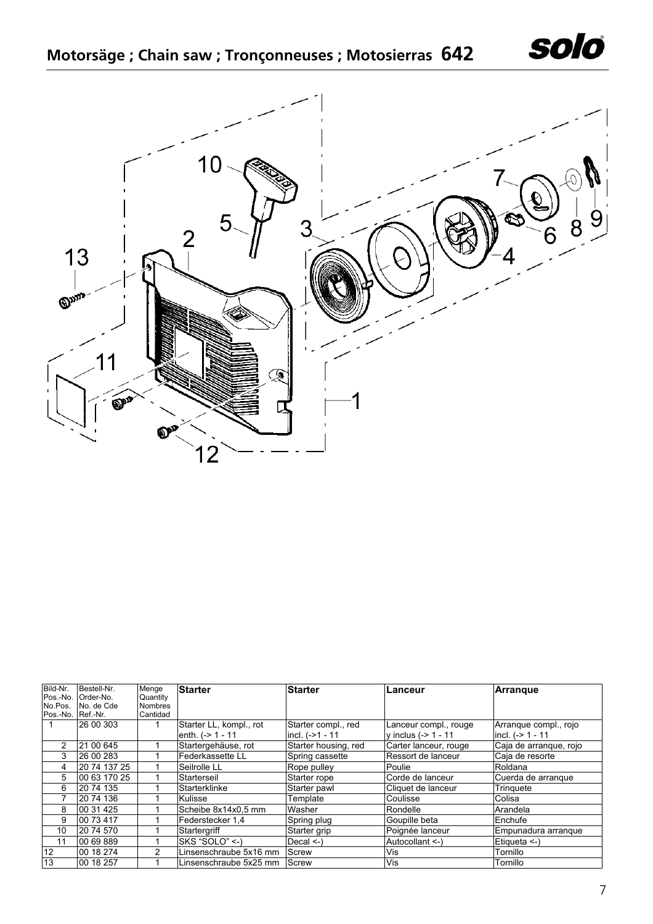



| Bild-Nr.<br>Pos.-No. | Bestell-Nr.<br>Order-No. | Menge<br>Quantity | <b>Starter</b>          | <b>Starter</b>       | Lanceur                | <b>Arrangue</b>        |
|----------------------|--------------------------|-------------------|-------------------------|----------------------|------------------------|------------------------|
| No.Pos.              | No. de Cde               | <b>Nombres</b>    |                         |                      |                        |                        |
| Pos.-No.             | Ref.-Nr.                 | Cantidad          |                         |                      |                        |                        |
|                      | 26 00 303                |                   | Starter LL, kompl., rot | Starter compl., red  | Lanceur compl., rouge  | Arranque compl., rojo  |
|                      |                          |                   | enth. $(-2)$ 1 - 11     | incl. $(-21 - 11)$   | y inclus $(-2 1 - 11)$ | incl. $(-> 1 - 11)$    |
| $\mathcal{P}$        | 21 00 645                |                   | Startergehäuse, rot     | Starter housing, red | Carter lanceur, rouge  | Caja de arranque, rojo |
| 3                    | 26 00 283                |                   | Federkassette LL        | Spring cassette      | Ressort de lanceur     | Caja de resorte        |
| 4                    | 20 74 137 25             |                   | Seilrolle LL            | Rope pulley          | Poulie                 | Roldana                |
| 5                    | 00 63 170 25             |                   | Starterseil             | Starter rope         | Corde de lanceur       | Cuerda de arrangue     |
| 6                    | 20 74 135                |                   | Starterklinke           | Starter pawl         | Cliquet de lanceur     | Tringuete              |
|                      | 20 74 136                |                   | Kulisse                 | Template             | Coulisse               | Colisa                 |
| 8                    | 00 31 425                |                   | Scheibe 8x14x0,5 mm     | Washer               | Rondelle               | Arandela               |
| 9                    | 00 73 417                |                   | Federstecker 1.4        | Spring plug          | Goupille beta          | Enchufe                |
| 10                   | 20 74 570                |                   | Startergriff            | Starter grip         | Poignée lanceur        | Empunadura arranque    |
| 11                   | 00 69 889                |                   | SKS "SOLO" <-)          | Decal <)             | Autocollant <-)        | Etiqueta <-)           |
| 12                   | 00 18 274                | 2                 | Linsenschraube 5x16 mm  | <b>IScrew</b>        | Vis                    | Tornillo               |
| 13                   | 00 18 257                |                   | Linsenschraube 5x25 mm  | <b>Screw</b>         | Vis                    | Tornillo               |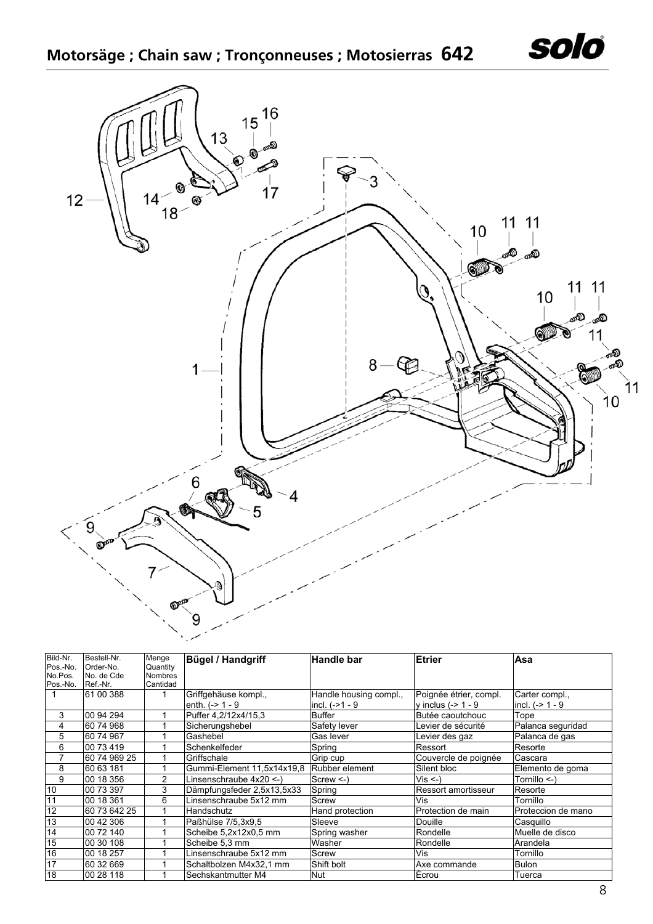

| Bild-Nr. | Bestell-Nr.  | Menge          | <b>Bügel / Handgriff</b>   | <b>Handle bar</b>      | Etrier                 | Asa                |
|----------|--------------|----------------|----------------------------|------------------------|------------------------|--------------------|
| Pos.-No. | Order-No.    | Quantity       |                            |                        |                        |                    |
| No.Pos.  | No. de Cde   | <b>Nombres</b> |                            |                        |                        |                    |
| Pos.-No. | Ref.-Nr.     | Cantidad       |                            |                        |                        |                    |
|          | 61 00 388    |                | Griffgehäuse kompl.,       | Handle housing compl., | Poignée étrier, compl. | Carter compl.,     |
|          |              |                | enth. $(-> 1 - 9$          | incl. $(-21 - 9)$      | y inclus $(-> 1 - 9$   | incl. $(-> 1 - 9$  |
| 3        | 00 94 294    |                | Puffer 4.2/12x4/15.3       | Buffer                 | Butée caoutchouc       | Tope               |
| 4        | 60 74 968    |                | Sicherungshebel            | Safety lever           | Levier de sécurité     | Palanca seguridad  |
| 5        | 60 74 967    |                | Gashebel                   | Gas lever              | Levier des gaz         | Palanca de gas     |
| 6        | 00 73 419    |                | Schenkelfeder              | Spring                 | Ressort                | Resorte            |
|          | 60 74 969 25 |                | Griffschale                | Grip cup               | Couvercle de poignée   | Cascara            |
| 8        | 60 63 181    |                | Gummi-Element 11,5x14x19,8 | Rubber element         | Silent bloc            | Elemento de goma   |
| 9        | 00 18 356    | $\overline{2}$ | Linsenschraube 4x20 <-)    | $Screw < -$            | $Vis < -$              | Tornillo <-)       |
| 10       | 00 73 397    | 3              | Dämpfungsfeder 2,5x13,5x33 | Spring                 | Ressort amortisseur    | Resorte            |
| 11       | 00 18 361    | 6              | Linsenschraube 5x12 mm     | Screw                  | Vis                    | Tornillo           |
| 12       | 60 73 642 25 |                | Handschutz                 | Hand protection        | Protection de main     | Proteccion de mano |
| 13       | 00 42 306    |                | Paßhülse 7/5.3x9.5         | Sleeve                 | <b>Douille</b>         | Casquillo          |
| 14       | 00 72 140    |                | Scheibe 5,2x12x0,5 mm      | Spring washer          | Rondelle               | Muelle de disco    |
| 15       | 00 30 108    |                | Scheibe 5,3 mm             | Washer                 | Rondelle               | Arandela           |
| 16       | 00 18 257    |                | Linsenschraube 5x12 mm     | Screw                  | Vis                    | Tornillo           |
| 17       | 60 32 669    |                | Schaltbolzen M4x32,1 mm    | Shift bolt             | Axe commande           | <b>Bulon</b>       |
| 18       | 00 28 118    |                | Sechskantmutter M4         | <b>Nut</b>             | Écrou                  | Tuerca             |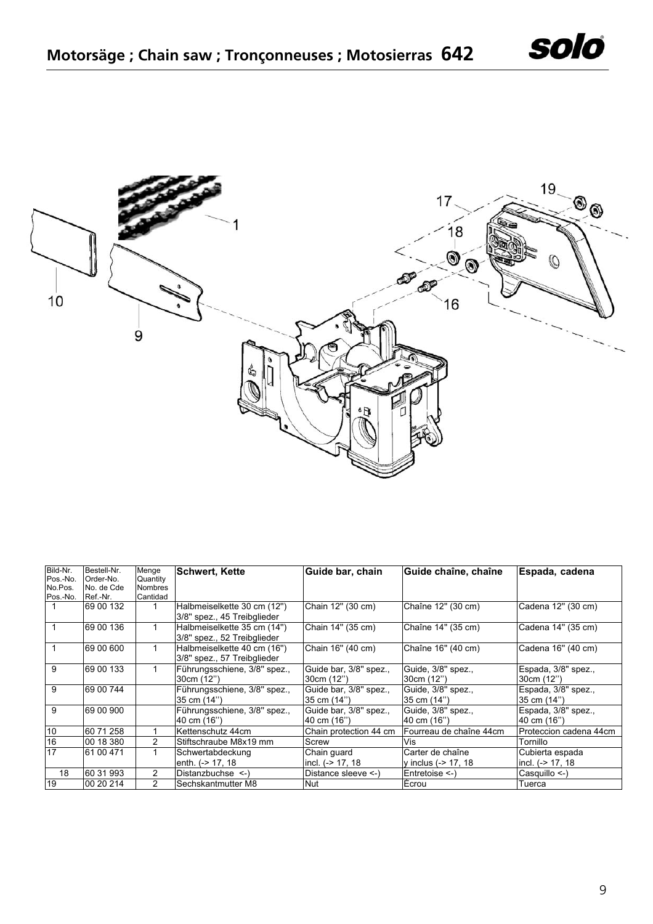

| Bild-Nr.<br>Pos.-No. | Bestell-Nr.<br>Order-No. | Menge<br>Quantity | <b>Schwert, Kette</b>                                      | Guide bar, chain                       | Guide chaîne, chaîne              | Espada, cadena                     |
|----------------------|--------------------------|-------------------|------------------------------------------------------------|----------------------------------------|-----------------------------------|------------------------------------|
| No.Pos.              | No. de Cde               | <b>Nombres</b>    |                                                            |                                        |                                   |                                    |
| Pos.-No.             | Ref.-Nr.                 | Cantidad          |                                                            |                                        |                                   |                                    |
|                      | 69 00 132                |                   | Halbmeiselkette 30 cm (12")<br>3/8" spez., 45 Treibglieder | Chain 12" (30 cm)                      | Chaîne 12" (30 cm)                | Cadena 12" (30 cm)                 |
|                      | 69 00 136                |                   | Halbmeiselkette 35 cm (14")<br>3/8" spez., 52 Treibglieder | Chain 14" (35 cm)                      | Chaîne 14" (35 cm)                | Cadena 14" (35 cm)                 |
|                      | 69 00 600                |                   | Halbmeiselkette 40 cm (16")<br>3/8" spez., 57 Treibglieder | Chain 16" (40 cm)                      | Chaîne 16" (40 cm)                | Cadena 16" (40 cm)                 |
| 9                    | 69 00 133                | 1                 | Führungsschiene, 3/8" spez.,<br>30cm (12")                 | Guide bar, 3/8" spez.,<br>30cm (12")   | Guide, 3/8" spez.,<br>30cm (12")  | Espada, 3/8" spez.,<br>30cm (12")  |
| 9                    | 69 00 744                |                   | Führungsschiene, 3/8" spez.,<br>35 cm (14")                | Guide bar, 3/8" spez.,<br>35 cm (14")  | Guide, 3/8" spez.,<br>35 cm (14") | Espada, 3/8" spez.,<br>35 cm (14") |
| 9                    | 69 00 900                |                   | Führungsschiene, 3/8" spez.,<br>40 cm (16")                | Guide bar, 3/8" spez.,<br>l40 cm (16") | Guide, 3/8" spez.,<br>40 cm (16") | Espada, 3/8" spez.,<br>40 cm (16") |
| 10                   | 60 71 258                |                   | Kettenschutz 44cm                                          | Chain protection 44 cm                 | Fourreau de chaîne 44cm           | Proteccion cadena 44cm             |
| 16                   | 00 18 380                | 2                 | Stiftschraube M8x19 mm                                     | Screw                                  | Vis                               | Tornillo                           |
| 17                   | 61 00 471                | 1                 | Schwertabdeckung                                           | Chain quard                            | Carter de chaîne                  | Cubierta espada                    |
|                      |                          |                   | enth. (-> 17, 18                                           | incl. $(-> 17, 18)$                    | y inclus (-> 17, 18               | incl. (-> 17, 18                   |
| 18                   | 60 31 993                | 2                 | Distanzbuchse <-)                                          | Distance sleeve <-)                    | Entretoise <-)                    | Casquillo <-)                      |
| 19                   | 00 20 214                | 2                 | Sechskantmutter M8                                         | <b>Nut</b>                             | Écrou                             | Tuerca                             |

solo